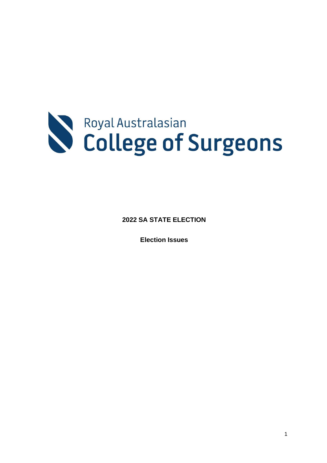

**2022 SA STATE ELECTION** 

**Election Issues**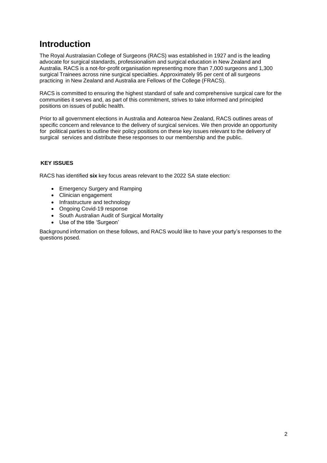# **Introduction**

The Royal Australasian College of Surgeons (RACS) was established in 1927 and is the leading advocate for surgical standards, professionalism and surgical education in New Zealand and Australia. RACS is a not-for-profit organisation representing more than 7,000 surgeons and 1,300 surgical Trainees across nine surgical specialties. Approximately 95 per cent of all surgeons practicing in New Zealand and Australia are Fellows of the College (FRACS).

RACS is committed to ensuring the highest standard of safe and comprehensive surgical care for the communities it serves and, as part of this commitment, strives to take informed and principled positions on issues of public health.

Prior to all government elections in Australia and Aotearoa New Zealand, RACS outlines areas of specific concern and relevance to the delivery of surgical services. We then provide an opportunity for political parties to outline their policy positions on these key issues relevant to the delivery of surgical services and distribute these responses to our membership and the public.

### **KEY ISSUES**

RACS has identified **six** key focus areas relevant to the 2022 SA state election:

- Emergency Surgery and Ramping
- Clinician engagement
- Infrastructure and technology
- Ongoing Covid-19 response
- South Australian Audit of Surgical Mortality
- Use of the title 'Surgeon'

Background information on these follows, and RACS would like to have your party's responses to the questions posed.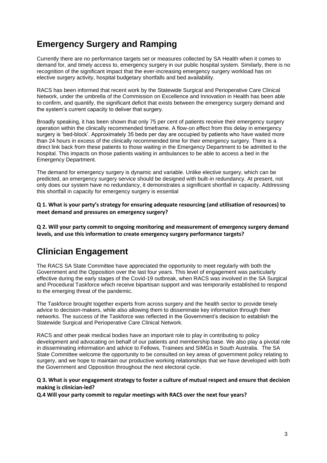# **Emergency Surgery and Ramping**

Currently there are no performance targets set or measures collected by SA Health when it comes to demand for, and timely access to, emergency surgery in our public hospital system. Similarly, there is no recognition of the significant impact that the ever-increasing emergency surgery workload has on elective surgery activity, hospital budgetary shortfalls and bed availability.

RACS has been informed that recent work by the Statewide Surgical and Perioperative Care Clinical Network, under the umbrella of the Commission on Excellence and Innovation in Health has been able to confirm, and quantify, the significant deficit that exists between the emergency surgery demand and the system's current capacity to deliver that surgery.

Broadly speaking, it has been shown that only 75 per cent of patients receive their emergency surgery operation within the clinically recommended timeframe. A flow-on effect from this delay in emergency surgery is 'bed-block'. Approximately 35 beds per day are occupied by patients who have waited more than 24 hours in excess of the clinically recommended time for their emergency surgery. There is a direct link back from these patients to those waiting in the Emergency Department to be admitted to the hospital. This impacts on those patients waiting in ambulances to be able to access a bed in the Emergency Department.

The demand for emergency surgery is dynamic and variable. Unlike elective surgery, which can be predicted, an emergency surgery service should be designed with built-in redundancy. At present, not only does our system have no redundancy, it demonstrates a significant shortfall in capacity. Addressing this shortfall in capacity for emergency surgery is essential

**Q 1. What is your party's strategy for ensuring adequate resourcing (and utilisation of resources) to meet demand and pressures on emergency surgery?**

**Q 2. Will your party commit to ongoing monitoring and measurement of emergency surgery demand levels, and use this information to create emergency surgery performance targets?**

# **Clinician Engagement**

The RACS SA State Committee have appreciated the opportunity to meet regularly with both the Government and the Opposition over the last four years. This level of engagement was particularly effective during the early stages of the Covid-19 outbreak, when RACS was involved in the SA Surgical and Procedural Taskforce which receive bipartisan support and was temporarily established to respond to the emerging threat of the pandemic.

The Taskforce brought together experts from across surgery and the health sector to provide timely advice to decision-makers, while also allowing them to disseminate key information through their networks. The success of the Taskforce was reflected in the Government's decision to establish the Statewide Surgical and Perioperative Care Clinical Network.

RACS and other peak medical bodies have an important role to play in contributing to policy development and advocating on behalf of our patients and membership base. We also play a pivotal role in disseminating information and advice to Fellows, Trainees and SIMGs in South Australia. The SA State Committee welcome the opportunity to be consulted on key areas of government policy relating to surgery, and we hope to maintain our productive working relationships that we have developed with both the Government and Opposition throughout the next electoral cycle.

### **Q 3. What is your engagement strategy to foster a culture of mutual respect and ensure that decision making is clinician-led?**

**Q.4 Will your party commit to regular meetings with RACS over the next four years?**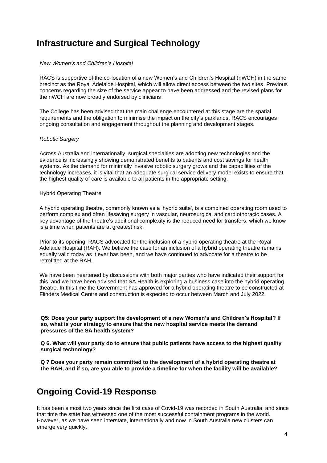## **Infrastructure and Surgical Technology**

#### *New Women's and Children's Hospital*

RACS is supportive of the co-location of a new Women's and Children's Hospital (nWCH) in the same precinct as the Royal Adelaide Hospital, which will allow direct access between the two sites. Previous concerns regarding the size of the service appear to have been addressed and the revised plans for the nWCH are now broadly endorsed by clinicians

The College has been advised that the main challenge encountered at this stage are the spatial requirements and the obligation to minimise the impact on the city's parklands. RACS encourages ongoing consultation and engagement throughout the planning and development stages.

#### *Robotic Surgery*

Across Australia and internationally, surgical specialties are adopting new technologies and the evidence is increasingly showing demonstrated benefits to patients and cost savings for health systems. As the demand for minimally invasive robotic surgery grows and the capabilities of the technology increases, it is vital that an adequate surgical service delivery model exists to ensure that the highest quality of care is available to all patients in the appropriate setting.

#### Hybrid Operating Theatre

A hybrid operating theatre, commonly known as a 'hybrid suite', is a combined operating room used to perform complex and often lifesaving surgery in vascular, neurosurgical and cardiothoracic cases. A key advantage of the theatre's additional complexity is the reduced need for transfers, which we know is a time when patients are at greatest risk.

Prior to its opening, RACS advocated for the inclusion of a hybrid operating theatre at the Royal Adelaide Hospital (RAH). We believe the case for an inclusion of a hybrid operating theatre remains equally valid today as it ever has been, and we have continued to advocate for a theatre to be retrofitted at the RAH.

We have been heartened by discussions with both major parties who have indicated their support for this, and we have been advised that SA Health is exploring a business case into the hybrid operating theatre. In this time the Government has approved for a hybrid operating theatre to be constructed at Flinders Medical Centre and construction is expected to occur between March and July 2022.

**Q5: Does your party support the development of a new Women's and Children's Hospital? If so, what is your strategy to ensure that the new hospital service meets the demand pressures of the SA health system?**

**Q 6. What will your party do to ensure that public patients have access to the highest quality surgical technology?**

**Q 7 Does your party remain committed to the development of a hybrid operating theatre at the RAH, and if so, are you able to provide a timeline for when the facility will be available?**

## **Ongoing Covid-19 Response**

It has been almost two years since the first case of Covid-19 was recorded in South Australia, and since that time the state has witnessed one of the most successful containment programs in the world. However, as we have seen interstate, internationally and now in South Australia new clusters can emerge very quickly.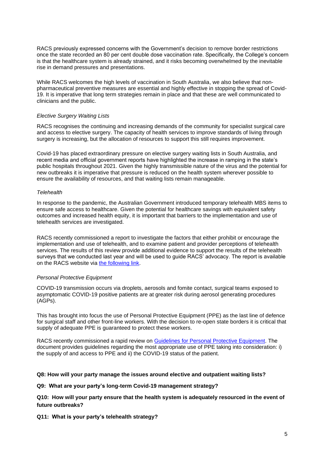RACS previously expressed concerns with the Government's decision to remove border restrictions once the state recorded an 80 per cent double dose vaccination rate. Specifically, the College's concern is that the healthcare system is already strained, and it risks becoming overwhelmed by the inevitable rise in demand pressures and presentations.

While RACS welcomes the high levels of vaccination in South Australia, we also believe that nonpharmaceutical preventive measures are essential and highly effective in stopping the spread of Covid-19. It is imperative that long term strategies remain in place and that these are well communicated to clinicians and the public.

#### *Elective Surgery Waiting Lists*

RACS recognises the continuing and increasing demands of the community for specialist surgical care and access to elective surgery. The capacity of health services to improve standards of living through surgery is increasing, but the allocation of resources to support this still requires improvement.

Covid-19 has placed extraordinary pressure on elective surgery waiting lists in South Australia, and recent media and official government reports have highlighted the increase in ramping in the state's public hospitals throughout 2021. Given the highly transmissible nature of the virus and the potential for new outbreaks it is imperative that pressure is reduced on the health system wherever possible to ensure the availability of resources, and that waiting lists remain manageable.

#### *Telehealth*

In response to the pandemic, the Australian Government introduced temporary telehealth MBS items to ensure safe access to healthcare. Given the potential for healthcare savings with equivalent safety outcomes and increased health equity, it is important that barriers to the implementation and use of telehealth services are investigated.

RACS recently commissioned a report to investigate the factors that either prohibit or encourage the implementation and use of telehealth, and to examine patient and provider perceptions of telehealth services. The results of this review provide additional evidence to support the results of the telehealth surveys that we conducted last year and will be used to guide RACS' advocacy. The report is available on the RACS website via [the following link.](https://www.surgeons.org/-/media/Project/RACS/surgeons-org/files/advocacy/2021-01-11-RACS-Telehealth-report.pdf?rev=77a633b97ab54df7b60755a2f4ea9cf7&hash=A2B6FE5AD7E78072CCE56ACFE0D13395)

### *Personal Protective Equipment*

COVID-19 transmission occurs via droplets, aerosols and fomite contact, surgical teams exposed to asymptomatic COVID-19 positive patients are at greater risk during aerosol generating procedures (AGPs).

This has brought into focus the use of Personal Protective Equipment (PPE) as the last line of defence for surgical staff and other front-line workers. With the decision to re-open state borders it is critical that supply of adequate PPE is guaranteed to protect these workers.

RACS recently commissioned a rapid review on [Guidelines for Personal Protective Equipment.](https://www.surgeons.org/-/media/Project/RACS/surgeons-org/files/news/covid19-information-hub/2020-05-05-covid19-ppe-guidelines.pdf?rev=396925b47e41461da79038b301b52381) The document provides guidelines regarding the most appropriate use of PPE taking into consideration: i) the supply of and access to PPE and ii) the COVID-19 status of the patient.

#### **Q8: How will your party manage the issues around elective and outpatient waiting lists?**

**Q9: What are your party's long-term Covid-19 management strategy?**

**Q10: How will your party ensure that the health system is adequately resourced in the event of future outbreaks?**

**Q11: What is your party's telehealth strategy?**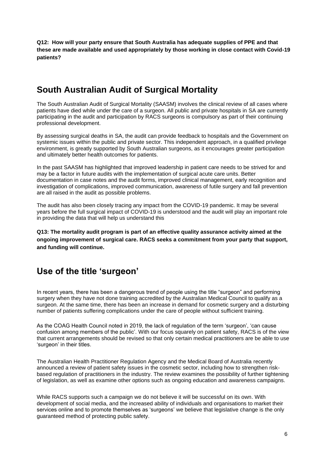**Q12: How will your party ensure that South Australia has adequate supplies of PPE and that these are made available and used appropriately by those working in close contact with Covid-19 patients?**

# **South Australian Audit of Surgical Mortality**

The South Australian Audit of Surgical Mortality (SAASM) involves the clinical review of all cases where patients have died while under the care of a surgeon. All public and private hospitals in SA are currently participating in the audit and participation by RACS surgeons is compulsory as part of their continuing professional development.

By assessing surgical deaths in SA, the audit can provide feedback to hospitals and the Government on systemic issues within the public and private sector. This independent approach, in a qualified privilege environment, is greatly supported by South Australian surgeons, as it encourages greater participation and ultimately better health outcomes for patients.

In the past SAASM has highlighted that improved leadership in patient care needs to be strived for and may be a factor in future audits with the implementation of surgical acute care units. Better documentation in case notes and the audit forms, improved clinical management, early recognition and investigation of complications, improved communication, awareness of futile surgery and fall prevention are all raised in the audit as possible problems.

The audit has also been closely tracing any impact from the COVID-19 pandemic. It may be several years before the full surgical impact of COVID-19 is understood and the audit will play an important role in providing the data that will help us understand this

**Q13: The mortality audit program is part of an effective quality assurance activity aimed at the ongoing improvement of surgical care. RACS seeks a commitment from your party that support, and funding will continue.**

## **Use of the title 'surgeon'**

In recent years, there has been a dangerous trend of people using the title "surgeon" and performing surgery when they have not done training accredited by the Australian Medical Council to qualify as a surgeon. At the same time, there has been an increase in demand for cosmetic surgery and a disturbing number of patients suffering complications under the care of people without sufficient training.

As the COAG Health Council noted in 2019, the lack of regulation of the term 'surgeon', 'can cause confusion among members of the public'. With our focus squarely on patient safety, RACS is of the view that current arrangements should be revised so that only certain medical practitioners are be able to use 'surgeon' in their titles.

The Australian Health Practitioner Regulation Agency and the Medical Board of Australia recently announced a review of patient safety issues in the cosmetic sector, including how to strengthen riskbased regulation of practitioners in the industry. The review examines the possibility of further tightening of legislation, as well as examine other options such as ongoing education and awareness campaigns.

While RACS supports such a campaign we do not believe it will be successful on its own. With development of social media, and the increased ability of individuals and organisations to market their services online and to promote themselves as 'surgeons' we believe that legislative change is the only guaranteed method of protecting public safety.